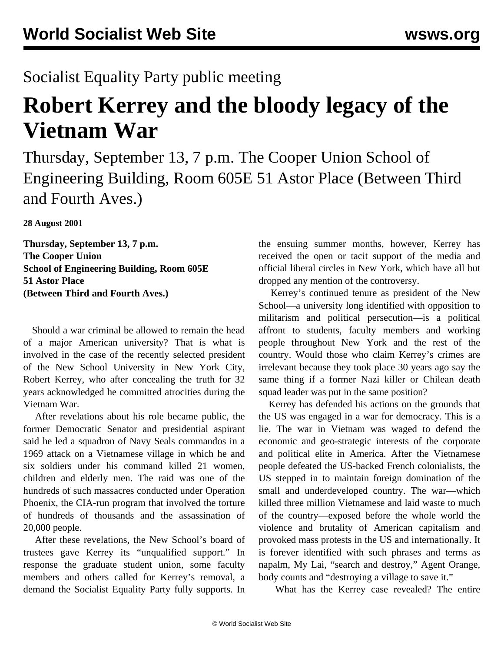## Socialist Equality Party public meeting

## **Robert Kerrey and the bloody legacy of the Vietnam War**

Thursday, September 13, 7 p.m. The Cooper Union School of Engineering Building, Room 605E 51 Astor Place (Between Third and Fourth Aves.)

**28 August 2001**

**Thursday, September 13, 7 p.m. The Cooper Union School of Engineering Building, Room 605E 51 Astor Place (Between Third and Fourth Aves.)**

 Should a war criminal be allowed to remain the head of a major American university? That is what is involved in the case of the recently selected president of the New School University in New York City, Robert Kerrey, who after concealing the truth for 32 years acknowledged he committed atrocities during the Vietnam War.

 After revelations about his role became public, the former Democratic Senator and presidential aspirant said he led a squadron of Navy Seals commandos in a 1969 attack on a Vietnamese village in which he and six soldiers under his command killed 21 women, children and elderly men. The raid was one of the hundreds of such massacres conducted under Operation Phoenix, the CIA-run program that involved the torture of hundreds of thousands and the assassination of 20,000 people.

 After these revelations, the New School's board of trustees gave Kerrey its "unqualified support." In response the graduate student union, some faculty members and others called for Kerrey's removal, a demand the Socialist Equality Party fully supports. In

the ensuing summer months, however, Kerrey has received the open or tacit support of the media and official liberal circles in New York, which have all but dropped any mention of the controversy.

 Kerrey's continued tenure as president of the New School—a university long identified with opposition to militarism and political persecution—is a political affront to students, faculty members and working people throughout New York and the rest of the country. Would those who claim Kerrey's crimes are irrelevant because they took place 30 years ago say the same thing if a former Nazi killer or Chilean death squad leader was put in the same position?

 Kerrey has defended his actions on the grounds that the US was engaged in a war for democracy. This is a lie. The war in Vietnam was waged to defend the economic and geo-strategic interests of the corporate and political elite in America. After the Vietnamese people defeated the US-backed French colonialists, the US stepped in to maintain foreign domination of the small and underdeveloped country. The war—which killed three million Vietnamese and laid waste to much of the country—exposed before the whole world the violence and brutality of American capitalism and provoked mass protests in the US and internationally. It is forever identified with such phrases and terms as napalm, My Lai, "search and destroy," Agent Orange, body counts and "destroying a village to save it."

What has the Kerrey case revealed? The entire